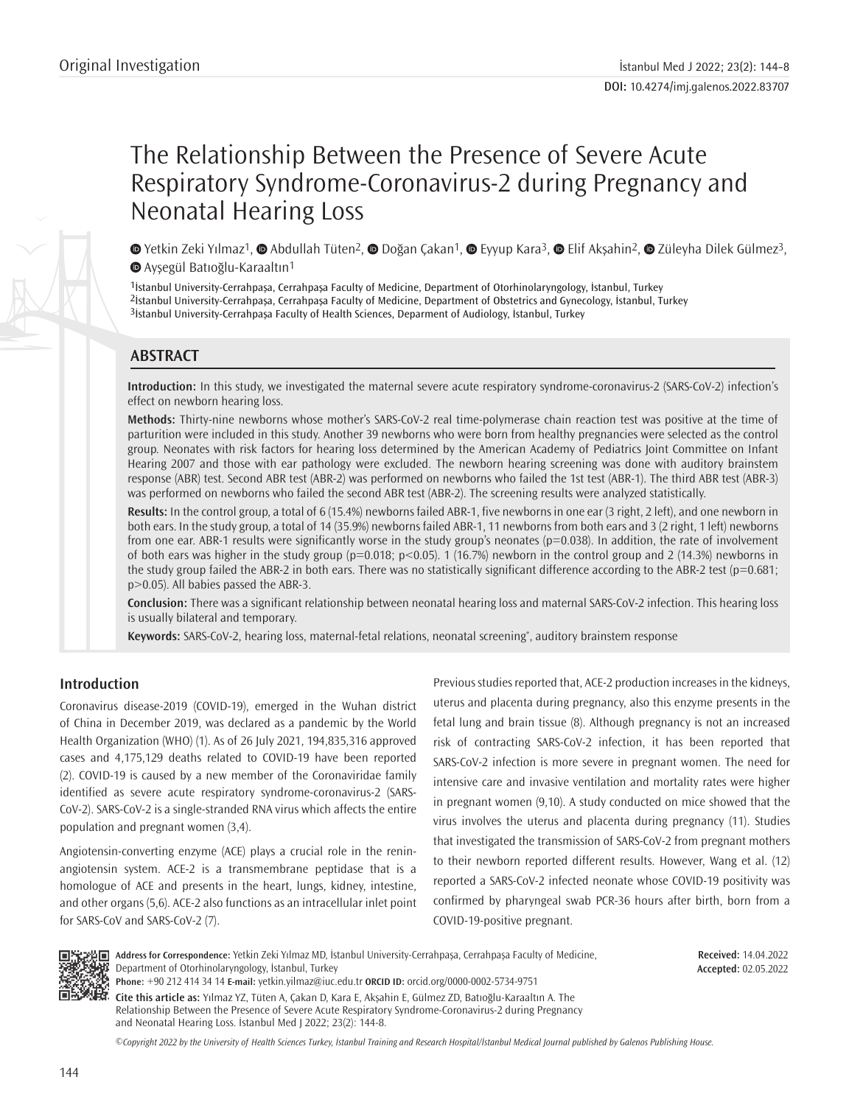# The Relationship Between the Presence of Severe Acute Respiratory Syndrome-Coronavirus-2 during Pregnancy and Neonatal Hearing Loss

**©** Yetkin Zeki Yılmaz<sup>1</sup>, **©** Abdullah Tüten<sup>2</sup>, © Doğan Çakan<sup>1</sup>, © Eyyup Kara<sup>3</sup>, © Elif Akşahin<sup>2</sup>, © Züleyha Dilek Gülmez<sup>3</sup>, Ayşegül Batıoğlu-Karaaltın1

1İstanbul University-Cerrahpaşa, Cerrahpaşa Faculty of Medicine, Department of Otorhinolaryngology, İstanbul, Turkey 2İstanbul University-Cerrahpaşa, Cerrahpaşa Faculty of Medicine, Department of Obstetrics and Gynecology, İstanbul, Turkey 3İstanbul University-Cerrahpaşa Faculty of Health Sciences, Deparment of Audiology, İstanbul, Turkey

# **ABSTRACT**

**Introduction:** In this study, we investigated the maternal severe acute respiratory syndrome-coronavirus-2 (SARS-CoV-2) infection's effect on newborn hearing loss.

**Methods:** Thirty-nine newborns whose mother's SARS-CoV-2 real time-polymerase chain reaction test was positive at the time of parturition were included in this study. Another 39 newborns who were born from healthy pregnancies were selected as the control group. Neonates with risk factors for hearing loss determined by the American Academy of Pediatrics Joint Committee on Infant Hearing 2007 and those with ear pathology were excluded. The newborn hearing screening was done with auditory brainstem response (ABR) test. Second ABR test (ABR-2) was performed on newborns who failed the 1st test (ABR-1). The third ABR test (ABR-3) was performed on newborns who failed the second ABR test (ABR-2). The screening results were analyzed statistically.

**Results:** In the control group, a total of 6 (15.4%) newborns failed ABR-1, five newborns in one ear (3 right, 2 left), and one newborn in both ears. In the study group, a total of 14 (35.9%) newborns failed ABR-1, 11 newborns from both ears and 3 (2 right, 1 left) newborns from one ear. ABR-1 results were significantly worse in the study group's neonates (p=0.038). In addition, the rate of involvement of both ears was higher in the study group ( $p=0.018$ ;  $p<0.05$ ). 1 (16.7%) newborn in the control group and 2 (14.3%) newborns in the study group failed the ABR-2 in both ears. There was no statistically significant difference according to the ABR-2 test (p=0.681; p>0.05). All babies passed the ABR-3.

**Conclusion:** There was a significant relationship between neonatal hearing loss and maternal SARS-CoV-2 infection. This hearing loss is usually bilateral and temporary.

**Keywords:** SARS-CoV-2, hearing loss, maternal-fetal relations, neonatal screening\* , auditory brainstem response

# **Introduction**

Coronavirus disease-2019 (COVID-19), emerged in the Wuhan district of China in December 2019, was declared as a pandemic by the World Health Organization (WHO) (1). As of 26 July 2021, 194,835,316 approved cases and 4,175,129 deaths related to COVID-19 have been reported (2). COVID-19 is caused by a new member of the Coronaviridae family identified as severe acute respiratory syndrome-coronavirus-2 (SARS-CoV-2). SARS-CoV-2 is a single-stranded RNA virus which affects the entire population and pregnant women (3,4).

Angiotensin-converting enzyme (ACE) plays a crucial role in the reninangiotensin system. ACE-2 is a transmembrane peptidase that is a homologue of ACE and presents in the heart, lungs, kidney, intestine, and other organs (5,6). ACE-2 also functions as an intracellular inlet point for SARS-CoV and SARS-CoV-2 (7).

Previous studies reported that, ACE-2 production increases in the kidneys, uterus and placenta during pregnancy, also this enzyme presents in the fetal lung and brain tissue (8). Although pregnancy is not an increased risk of contracting SARS-CoV-2 infection, it has been reported that SARS-CoV-2 infection is more severe in pregnant women. The need for intensive care and invasive ventilation and mortality rates were higher in pregnant women (9,10). A study conducted on mice showed that the virus involves the uterus and placenta during pregnancy (11). Studies that investigated the transmission of SARS-CoV-2 from pregnant mothers to their newborn reported different results. However, Wang et al. (12) reported a SARS-CoV-2 infected neonate whose COVID-19 positivity was confirmed by pharyngeal swab PCR-36 hours after birth, born from a COVID-19-positive pregnant.



**Address for Correspondence:** Yetkin Zeki Yılmaz MD, İstanbul University-Cerrahpaşa, Cerrahpaşa Faculty of Medicine, Department of Otorhinolaryngology, İstanbul, Turkey

**Received:** 14.04.2022 **Accepted:** 02.05.2022

**Phone:** +90 212 414 34 14 **E-mail:** yetkin.yilmaz@iuc.edu.tr **ORCID ID:** orcid.org/0000-0002-5734-9751

**Cite this article as:** Yılmaz YZ, Tüten A, Çakan D, Kara E, Akşahin E, Gülmez ZD, Batıoğlu-Karaaltın A. The Relationship Between the Presence of Severe Acute Respiratory Syndrome-Coronavirus-2 during Pregnancy and Neonatal Hearing Loss. İstanbul Med J 2022; 23(2): 144-8.

*©*Copyright 2022 by the University of Health Sciences Turkey, İstanbul Training and Research Hospital/İstanbul Medical Journal published by Galenos Publishing House.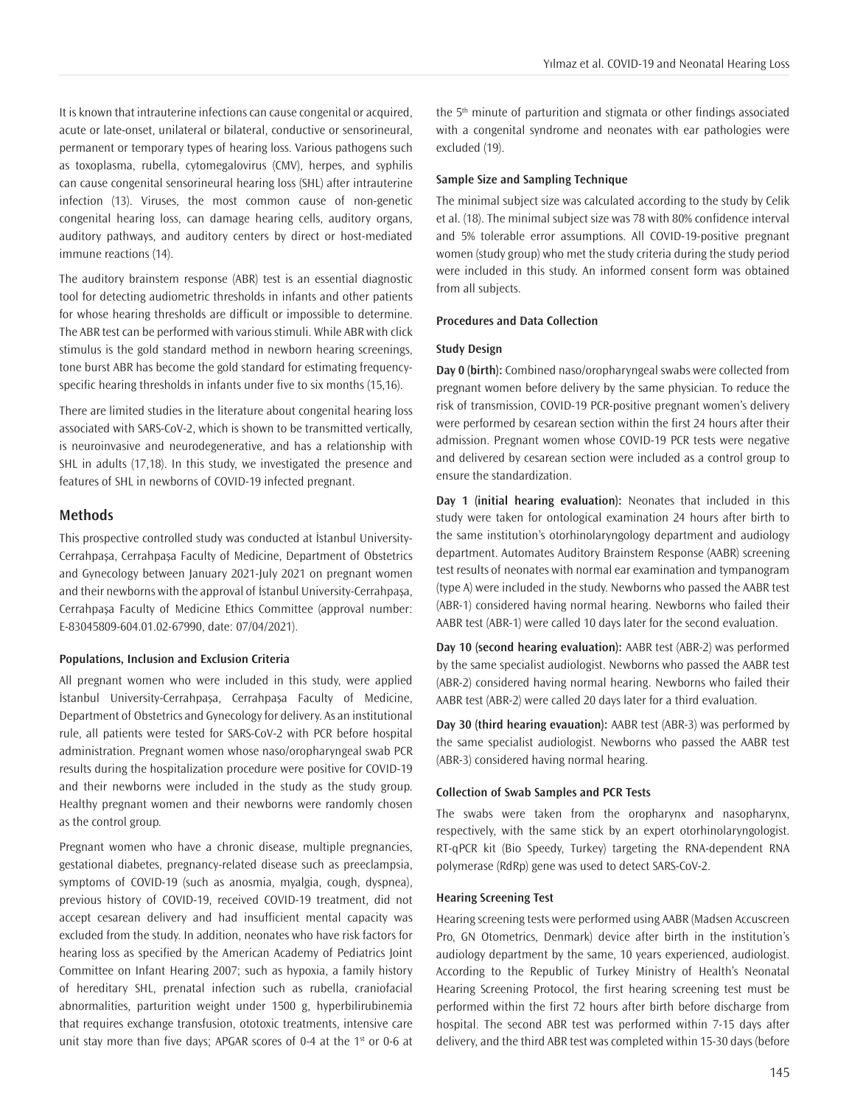It is known that intrauterine infections can cause congenital or acquired, acute or late-onset, unilateral or bilateral, conductive or sensorineural, permanent or temporary types of hearing loss. Various pathogens such as toxoplasma, rubella, cytomegalovirus (CMV), herpes, and syphilis can cause congenital sensorineural hearing loss (SHL) after intrauterine infection (13). Viruses, the most common cause of non-genetic congenital hearing loss, can damage hearing cells, auditory organs, auditory pathways, and auditory centers by direct or host-mediated

The auditory brainstem response (ABR) test is an essential diagnostic tool for detecting audiometric thresholds in infants and other patients for whose hearing thresholds are difficult or impossible to determine. The ABR test can be performed with various stimuli. While ABR with click stimulus is the gold standard method in newborn hearing screenings, tone burst ABR has become the gold standard for estimating frequencyspecific hearing thresholds in infants under five to six months (15,16).

There are limited studies in the literature about congenital hearing loss associated with SARS-CoV-2, which is shown to be transmitted vertically, is neuroinvasive and neurodegenerative, and has a relationship with SHL in adults (17,18). In this study, we investigated the presence and features of SHL in newborns of COVID-19 infected pregnant.

## **Methods**

immune reactions (14).

This prospective controlled study was conducted at İstanbul University-Cerrahpaşa, Cerrahpaşa Faculty of Medicine, Department of Obstetrics and Gynecology between January 2021-July 2021 on pregnant women and their newborns with the approval of İstanbul University-Cerrahpaşa, Cerrahpaşa Faculty of Medicine Ethics Committee (approval number: E-83045809-604.01.02-67990, date: 07/04/2021).

## **Populations, Inclusion and Exclusion Criteria**

All pregnant women who were included in this study, were applied İstanbul University-Cerrahpaşa, Cerrahpaşa Faculty of Medicine, Department of Obstetrics and Gynecology for delivery. As an institutional rule, all patients were tested for SARS-CoV-2 with PCR before hospital administration. Pregnant women whose naso/oropharyngeal swab PCR results during the hospitalization procedure were positive for COVID-19 and their newborns were included in the study as the study group. Healthy pregnant women and their newborns were randomly chosen as the control group.

Pregnant women who have a chronic disease, multiple pregnancies, gestational diabetes, pregnancy-related disease such as preeclampsia, symptoms of COVID-19 (such as anosmia, myalgia, cough, dyspnea), previous history of COVID-19, received COVID-19 treatment, did not accept cesarean delivery and had insufficient mental capacity was excluded from the study. In addition, neonates who have risk factors for hearing loss as specified by the American Academy of Pediatrics Joint Committee on Infant Hearing 2007; such as hypoxia, a family history of hereditary SHL, prenatal infection such as rubella, craniofacial abnormalities, parturition weight under 1500 g, hyperbilirubinemia that requires exchange transfusion, ototoxic treatments, intensive care unit stay more than five days; APGAR scores of 0-4 at the  $1<sup>st</sup>$  or 0-6 at

the 5th minute of parturition and stigmata or other findings associated with a congenital syndrome and neonates with ear pathologies were excluded (19).

## **Sample Size and Sampling Technique**

The minimal subject size was calculated according to the study by Celik et al. (18). The minimal subject size was 78 with 80% confidence interval and 5% tolerable error assumptions. All COVID-19-positive pregnant women (study group) who met the study criteria during the study period were included in this study. An informed consent form was obtained from all subjects.

## **Procedures and Data Collection**

## **Study Design**

**Day 0 (birth):** Combined naso/oropharyngeal swabs were collected from pregnant women before delivery by the same physician. To reduce the risk of transmission, COVID-19 PCR-positive pregnant women's delivery were performed by cesarean section within the first 24 hours after their admission. Pregnant women whose COVID-19 PCR tests were negative and delivered by cesarean section were included as a control group to ensure the standardization.

**Day 1 (initial hearing evaluation):** Neonates that included in this study were taken for ontological examination 24 hours after birth to the same institution's otorhinolaryngology department and audiology department. Automates Auditory Brainstem Response (AABR) screening test results of neonates with normal ear examination and tympanogram (type A) were included in the study. Newborns who passed the AABR test (ABR-1) considered having normal hearing. Newborns who failed their AABR test (ABR-1) were called 10 days later for the second evaluation.

**Day 10 (second hearing evaluation):** AABR test (ABR-2) was performed by the same specialist audiologist. Newborns who passed the AABR test (ABR-2) considered having normal hearing. Newborns who failed their AABR test (ABR-2) were called 20 days later for a third evaluation.

**Day 30 (third hearing evauation):** AABR test (ABR-3) was performed by the same specialist audiologist. Newborns who passed the AABR test (ABR-3) considered having normal hearing.

#### **Collection of Swab Samples and PCR Tests**

The swabs were taken from the oropharynx and nasopharynx, respectively, with the same stick by an expert otorhinolaryngologist. RT-qPCR kit (Bio Speedy, Turkey) targeting the RNA-dependent RNA polymerase (RdRp) gene was used to detect SARS-CoV-2.

#### **Hearing Screening Test**

Hearing screening tests were performed using AABR (Madsen Accuscreen Pro, GN Otometrics, Denmark) device after birth in the institution's audiology department by the same, 10 years experienced, audiologist. According to the Republic of Turkey Ministry of Health's Neonatal Hearing Screening Protocol, the first hearing screening test must be performed within the first 72 hours after birth before discharge from hospital. The second ABR test was performed within 7-15 days after delivery, and the third ABR test was completed within 15-30 days (before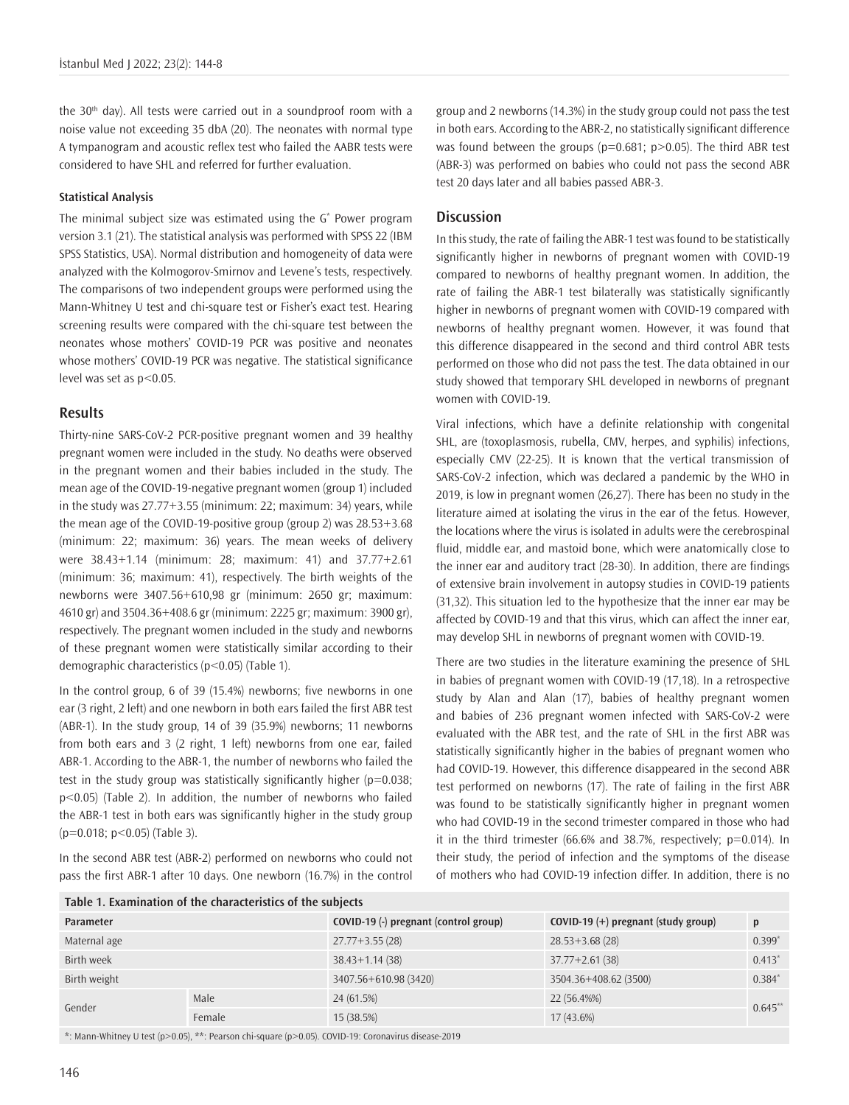the  $30<sup>th</sup>$  day). All tests were carried out in a soundproof room with a noise value not exceeding 35 dbA (20). The neonates with normal type A tympanogram and acoustic reflex test who failed the AABR tests were considered to have SHL and referred for further evaluation.

## **Statistical Analysis**

The minimal subject size was estimated using the G\* Power program version 3.1 (21). The statistical analysis was performed with SPSS 22 (IBM SPSS Statistics, USA). Normal distribution and homogeneity of data were analyzed with the Kolmogorov-Smirnov and Levene's tests, respectively. The comparisons of two independent groups were performed using the Mann-Whitney U test and chi-square test or Fisher's exact test. Hearing screening results were compared with the chi-square test between the neonates whose mothers' COVID-19 PCR was positive and neonates whose mothers' COVID-19 PCR was negative. The statistical significance level was set as p<0.05.

#### **Results**

Thirty-nine SARS-CoV-2 PCR-positive pregnant women and 39 healthy pregnant women were included in the study. No deaths were observed in the pregnant women and their babies included in the study. The mean age of the COVID-19-negative pregnant women (group 1) included in the study was 27.77+3.55 (minimum: 22; maximum: 34) years, while the mean age of the COVID-19-positive group (group 2) was 28.53+3.68 (minimum: 22; maximum: 36) years. The mean weeks of delivery were 38.43+1.14 (minimum: 28; maximum: 41) and 37.77+2.61 (minimum: 36; maximum: 41), respectively. The birth weights of the newborns were 3407.56+610,98 gr (minimum: 2650 gr; maximum: 4610 gr) and 3504.36+408.6 gr (minimum: 2225 gr; maximum: 3900 gr), respectively. The pregnant women included in the study and newborns of these pregnant women were statistically similar according to their demographic characteristics (p<0.05) (Table 1).

In the control group, 6 of 39 (15.4%) newborns; five newborns in one ear (3 right, 2 left) and one newborn in both ears failed the first ABR test (ABR-1). In the study group, 14 of 39 (35.9%) newborns; 11 newborns from both ears and 3 (2 right, 1 left) newborns from one ear, failed ABR-1. According to the ABR-1, the number of newborns who failed the test in the study group was statistically significantly higher ( $p=0.038$ ; p<0.05) (Table 2). In addition, the number of newborns who failed the ABR-1 test in both ears was significantly higher in the study group (p=0.018; p<0.05) (Table 3).

In the second ABR test (ABR-2) performed on newborns who could not pass the first ABR-1 after 10 days. One newborn (16.7%) in the control

**Table 1. Examination of the characteristics of the subjects**

group and 2 newborns (14.3%) in the study group could not pass the test in both ears. According to the ABR-2, no statistically significant difference was found between the groups ( $p=0.681$ ;  $p>0.05$ ). The third ABR test (ABR-3) was performed on babies who could not pass the second ABR test 20 days later and all babies passed ABR-3.

# **Discussion**

In this study, the rate of failing the ABR-1 test was found to be statistically significantly higher in newborns of pregnant women with COVID-19 compared to newborns of healthy pregnant women. In addition, the rate of failing the ABR-1 test bilaterally was statistically significantly higher in newborns of pregnant women with COVID-19 compared with newborns of healthy pregnant women. However, it was found that this difference disappeared in the second and third control ABR tests performed on those who did not pass the test. The data obtained in our study showed that temporary SHL developed in newborns of pregnant women with COVID-19.

Viral infections, which have a definite relationship with congenital SHL, are (toxoplasmosis, rubella, CMV, herpes, and syphilis) infections, especially CMV (22-25). It is known that the vertical transmission of SARS-CoV-2 infection, which was declared a pandemic by the WHO in 2019, is low in pregnant women (26,27). There has been no study in the literature aimed at isolating the virus in the ear of the fetus. However, the locations where the virus is isolated in adults were the cerebrospinal fluid, middle ear, and mastoid bone, which were anatomically close to the inner ear and auditory tract (28-30). In addition, there are findings of extensive brain involvement in autopsy studies in COVID-19 patients (31,32). This situation led to the hypothesize that the inner ear may be affected by COVID-19 and that this virus, which can affect the inner ear, may develop SHL in newborns of pregnant women with COVID-19.

There are two studies in the literature examining the presence of SHL in babies of pregnant women with COVID-19 (17,18). In a retrospective study by Alan and Alan (17), babies of healthy pregnant women and babies of 236 pregnant women infected with SARS-CoV-2 were evaluated with the ABR test, and the rate of SHL in the first ABR was statistically significantly higher in the babies of pregnant women who had COVID-19. However, this difference disappeared in the second ABR test performed on newborns (17). The rate of failing in the first ABR was found to be statistically significantly higher in pregnant women who had COVID-19 in the second trimester compared in those who had it in the third trimester (66.6% and 38.7%, respectively; p=0.014). In their study, the period of infection and the symptoms of the disease of mothers who had COVID-19 infection differ. In addition, there is no

| Table T. Examination of the characteristics of the subjects |        |                                       |                                       |            |  |  |  |  |
|-------------------------------------------------------------|--------|---------------------------------------|---------------------------------------|------------|--|--|--|--|
| <b>Parameter</b>                                            |        | COVID-19 (-) pregnant (control group) | $COVID-19 (+)$ pregnant (study group) | p          |  |  |  |  |
| Maternal age                                                |        | $27.77 + 3.55(28)$                    | $28.53 + 3.68(28)$                    | 0.399'     |  |  |  |  |
| Birth week                                                  |        | $38.43 + 1.14(38)$                    | $37.77 + 2.61(38)$                    | $0.413*$   |  |  |  |  |
| Birth weight                                                |        | 3407.56+610.98 (3420)                 | 3504.36+408.62 (3500)                 | 0.384'     |  |  |  |  |
| Gender                                                      | Male   | 24 (61.5%)                            | 22 (56.4%%)                           | $0.645***$ |  |  |  |  |
|                                                             | Female | 15 (38.5%)                            | $17(43.6\%)$                          |            |  |  |  |  |

\*: Mann-Whitney U test (p>0.05), \*\*: Pearson chi-square (p>0.05). COVID-19: Coronavirus disease-2019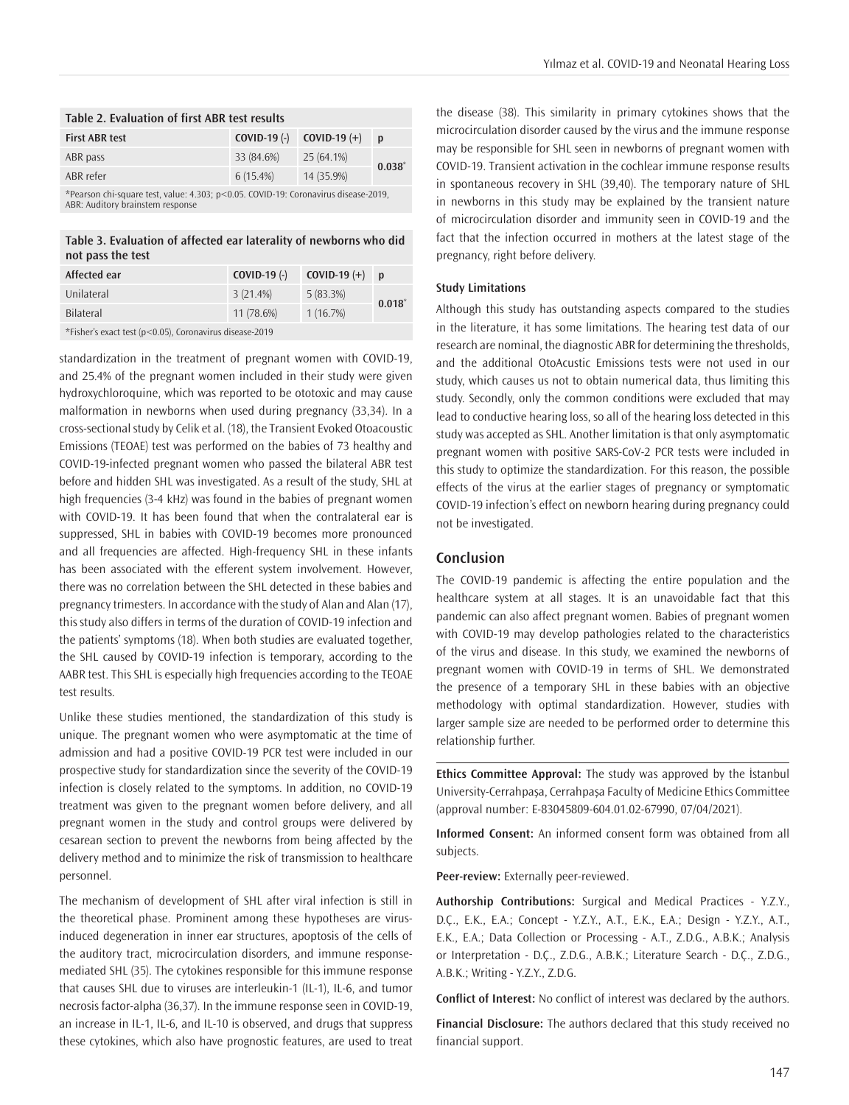| Table 2. Evaluation of first ABR test results                                     |            |                               |              |  |  |  |
|-----------------------------------------------------------------------------------|------------|-------------------------------|--------------|--|--|--|
| <b>First ABR test</b>                                                             |            | $COVID-19$ (-) $COVID-19$ (+) | $\mathbf{p}$ |  |  |  |
| ABR pass                                                                          | 33 (84.6%) | $25(64.1\%)$                  | $0.038^{*}$  |  |  |  |
| ABR refer                                                                         | 6(15.4%)   | 14 (35.9%)                    |              |  |  |  |
| *Pearson chi-square test value: 4.303; n<0.05. COVID-19; Coronavirus disease-2019 |            |                               |              |  |  |  |

\*Pearson chi-square test, value: 4.303; p<0.05. COVID-19: Coronavirus disease-2019, ABR: Auditory brainstem response

**Table 3. Evaluation of affected ear laterality of newborns who did not pass the test**

| Affected ear                                            | $COVID-19$ (-) | <b>COVID-19</b> $(+)$ p |             |  |  |
|---------------------------------------------------------|----------------|-------------------------|-------------|--|--|
| Unilateral                                              | 3(21.4%)       | 5(83.3%)                | $0.018^{*}$ |  |  |
| <b>Bilateral</b>                                        | $11(78.6\%)$   | 1(16.7%)                |             |  |  |
| *Fisher's exact test (p<0.05). Coronavirus disease-2019 |                |                         |             |  |  |

standardization in the treatment of pregnant women with COVID-19, and 25.4% of the pregnant women included in their study were given hydroxychloroquine, which was reported to be ototoxic and may cause malformation in newborns when used during pregnancy (33,34). In a cross-sectional study by Celik et al. (18), the Transient Evoked Otoacoustic Emissions (TEOAE) test was performed on the babies of 73 healthy and COVID-19-infected pregnant women who passed the bilateral ABR test before and hidden SHL was investigated. As a result of the study, SHL at high frequencies (3-4 kHz) was found in the babies of pregnant women with COVID-19. It has been found that when the contralateral ear is suppressed, SHL in babies with COVID-19 becomes more pronounced and all frequencies are affected. High-frequency SHL in these infants has been associated with the efferent system involvement. However, there was no correlation between the SHL detected in these babies and pregnancy trimesters. In accordance with the study of Alan and Alan (17), this study also differs in terms of the duration of COVID-19 infection and the patients' symptoms (18). When both studies are evaluated together, the SHL caused by COVID-19 infection is temporary, according to the AABR test. This SHL is especially high frequencies according to the TEOAE test results.

Unlike these studies mentioned, the standardization of this study is unique. The pregnant women who were asymptomatic at the time of admission and had a positive COVID-19 PCR test were included in our prospective study for standardization since the severity of the COVID-19 infection is closely related to the symptoms. In addition, no COVID-19 treatment was given to the pregnant women before delivery, and all pregnant women in the study and control groups were delivered by cesarean section to prevent the newborns from being affected by the delivery method and to minimize the risk of transmission to healthcare personnel.

The mechanism of development of SHL after viral infection is still in the theoretical phase. Prominent among these hypotheses are virusinduced degeneration in inner ear structures, apoptosis of the cells of the auditory tract, microcirculation disorders, and immune responsemediated SHL (35). The cytokines responsible for this immune response that causes SHL due to viruses are interleukin-1 (IL-1), IL-6, and tumor necrosis factor-alpha (36,37). In the immune response seen in COVID-19, an increase in IL-1, IL-6, and IL-10 is observed, and drugs that suppress these cytokines, which also have prognostic features, are used to treat

the disease (38). This similarity in primary cytokines shows that the microcirculation disorder caused by the virus and the immune response may be responsible for SHL seen in newborns of pregnant women with COVID-19. Transient activation in the cochlear immune response results in spontaneous recovery in SHL (39,40). The temporary nature of SHL in newborns in this study may be explained by the transient nature of microcirculation disorder and immunity seen in COVID-19 and the fact that the infection occurred in mothers at the latest stage of the pregnancy, right before delivery.

#### **Study Limitations**

Although this study has outstanding aspects compared to the studies in the literature, it has some limitations. The hearing test data of our research are nominal, the diagnostic ABR for determining the thresholds, and the additional OtoAcustic Emissions tests were not used in our study, which causes us not to obtain numerical data, thus limiting this study. Secondly, only the common conditions were excluded that may lead to conductive hearing loss, so all of the hearing loss detected in this study was accepted as SHL. Another limitation is that only asymptomatic pregnant women with positive SARS-CoV-2 PCR tests were included in this study to optimize the standardization. For this reason, the possible effects of the virus at the earlier stages of pregnancy or symptomatic COVID-19 infection's effect on newborn hearing during pregnancy could not be investigated.

## **Conclusion**

The COVID-19 pandemic is affecting the entire population and the healthcare system at all stages. It is an unavoidable fact that this pandemic can also affect pregnant women. Babies of pregnant women with COVID-19 may develop pathologies related to the characteristics of the virus and disease. In this study, we examined the newborns of pregnant women with COVID-19 in terms of SHL. We demonstrated the presence of a temporary SHL in these babies with an objective methodology with optimal standardization. However, studies with larger sample size are needed to be performed order to determine this relationship further.

**Ethics Committee Approval:** The study was approved by the İstanbul University-Cerrahpaşa, Cerrahpaşa Faculty of Medicine Ethics Committee (approval number: E-83045809-604.01.02-67990, 07/04/2021).

**Informed Consent:** An informed consent form was obtained from all subjects.

**Peer-review:** Externally peer-reviewed.

**Authorship Contributions:** Surgical and Medical Practices - Y.Z.Y., D.Ç., E.K., E.A.; Concept - Y.Z.Y., A.T., E.K., E.A.; Design - Y.Z.Y., A.T., E.K., E.A.; Data Collection or Processing - A.T., Z.D.G., A.B.K.; Analysis or Interpretation - D.Ç., Z.D.G., A.B.K.; Literature Search - D.Ç., Z.D.G., A.B.K.; Writing - Y.Z.Y., Z.D.G.

**Conflict of Interest:** No conflict of interest was declared by the authors.

**Financial Disclosure:** The authors declared that this study received no financial support.